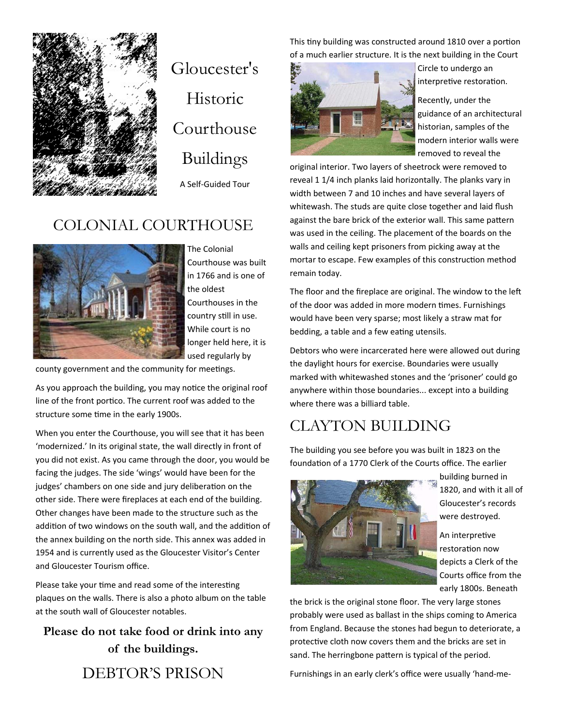

Gloucester's Historic Courthouse Buildings A Self‐Guided Tour

# COLONIAL COURTHOUSE



The Colonial Courthouse was built in 1766 and is one of the oldest Courthouses in the country still in use. While court is no longer held here, it is used regularly by

county government and the community for meetings.

As you approach the building, you may notice the original roof line of the front portico. The current roof was added to the structure some time in the early 1900s.

When you enter the Courthouse, you will see that it has been 'modernized.' In its original state, the wall directly in front of you did not exist. As you came through the door, you would be facing the judges. The side 'wings' would have been for the judges' chambers on one side and jury deliberation on the other side. There were fireplaces at each end of the building. Other changes have been made to the structure such as the addition of two windows on the south wall, and the addition of the annex building on the north side. This annex was added in 1954 and is currently used as the Gloucester Visitor's Center and Gloucester Tourism office.

Please take your time and read some of the interesting plaques on the walls. There is also a photo album on the table at the south wall of Gloucester notables.

**Please do not take food or drink into any of the buildings.**  DEBTOR'S PRISON

This tiny building was constructed around 1810 over a portion of a much earlier structure. It is the next building in the Court



Circle to undergo an interpretive restoration.

Recently, under the guidance of an architectural historian, samples of the modern interior walls were removed to reveal the

original interior. Two layers of sheetrock were removed to reveal 1 1/4 inch planks laid horizontally. The planks vary in width between 7 and 10 inches and have several layers of whitewash. The studs are quite close together and laid flush against the bare brick of the exterior wall. This same pattern was used in the ceiling. The placement of the boards on the walls and ceiling kept prisoners from picking away at the mortar to escape. Few examples of this construction method remain today.

The floor and the fireplace are original. The window to the left of the door was added in more modern times. Furnishings would have been very sparse; most likely a straw mat for bedding, a table and a few eating utensils.

Debtors who were incarcerated here were allowed out during the daylight hours for exercise. Boundaries were usually marked with whitewashed stones and the 'prisoner' could go anywhere within those boundaries... except into a building where there was a billiard table.

## CLAYTON BUILDING

The building you see before you was built in 1823 on the foundation of a 1770 Clerk of the Courts office. The earlier



building burned in 1820, and with it all of Gloucester's records were destroyed.

An interpretive restoration now depicts a Clerk of the Courts office from the early 1800s. Beneath

the brick is the original stone floor. The very large stones probably were used as ballast in the ships coming to America from England. Because the stones had begun to deteriorate, a protective cloth now covers them and the bricks are set in sand. The herringbone pattern is typical of the period.

Furnishings in an early clerk's office were usually 'hand‐me‐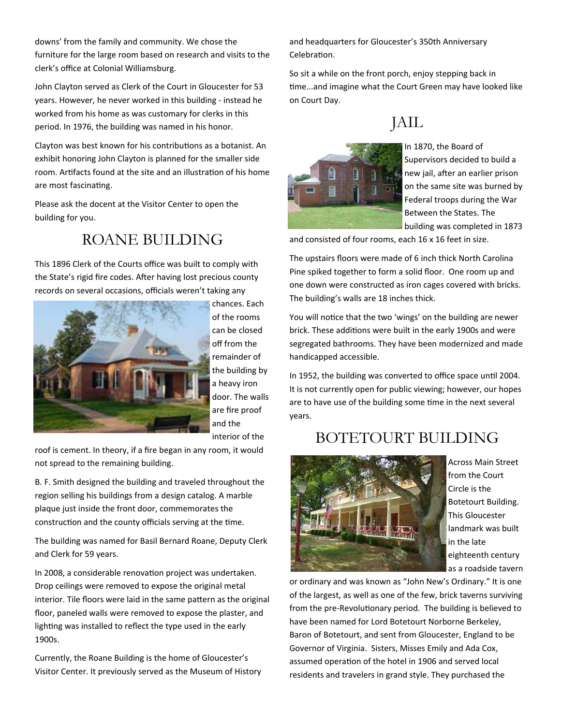downs' from the family and community. We chose the furniture for the large room based on research and visits to the clerk's office at Colonial Williamsburg.

John Clayton served as Clerk of the Court in Gloucester for 53 years. However, he never worked in this building ‐ instead he worked from his home as was customary for clerks in this period. In 1976, the building was named in his honor.

Clayton was best known for his contributions as a botanist. An exhibit honoring John Clayton is planned for the smaller side room. Artifacts found at the site and an illustration of his home are most fascinating.

Please ask the docent at the Visitor Center to open the building for you.

## ROANE BUILDING

This 1896 Clerk of the Courts office was built to comply with the State's rigid fire codes. After having lost precious county records on several occasions, officials weren't taking any



chances. Each of the rooms can be closed off from the remainder of the building by a heavy iron door. The walls are fire proof and the interior of the

roof is cement. In theory, if a fire began in any room, it would not spread to the remaining building.

B. F. Smith designed the building and traveled throughout the region selling his buildings from a design catalog. A marble plaque just inside the front door, commemorates the construction and the county officials serving at the time.

The building was named for Basil Bernard Roane, Deputy Clerk and Clerk for 59 years.

In 2008, a considerable renovation project was undertaken. Drop ceilings were removed to expose the original metal interior. Tile floors were laid in the same pattern as the original floor, paneled walls were removed to expose the plaster, and lighting was installed to reflect the type used in the early 1900s.

Currently, the Roane Building is the home of Gloucester's Visitor Center. It previously served as the Museum of History and headquarters for Gloucester's 350th Anniversary Celebration.

So sit a while on the front porch, enjoy stepping back in time...and imagine what the Court Green may have looked like on Court Day.

### JAIL



In 1870, the Board of Supervisors decided to build a new jail, after an earlier prison on the same site was burned by Federal troops during the War Between the States. The building was completed in 1873

and consisted of four rooms, each 16 x 16 feet in size.

The upstairs floors were made of 6 inch thick North Carolina Pine spiked together to form a solid floor. One room up and one down were constructed as iron cages covered with bricks. The building's walls are 18 inches thick.

You will notice that the two 'wings' on the building are newer brick. These additions were built in the early 1900s and were segregated bathrooms. They have been modernized and made handicapped accessible.

In 1952, the building was converted to office space until 2004. It is not currently open for public viewing; however, our hopes are to have use of the building some time in the next several years.

## BOTETOURT BUILDING



Across Main Street from the Court Circle is the Botetourt Building. This Gloucester landmark was built in the late eighteenth century as a roadside tavern

or ordinary and was known as "John New's Ordinary." It is one of the largest, as well as one of the few, brick taverns surviving from the pre-Revolutionary period. The building is believed to have been named for Lord Botetourt Norborne Berkeley, Baron of Botetourt, and sent from Gloucester, England to be Governor of Virginia. Sisters, Misses Emily and Ada Cox, assumed operation of the hotel in 1906 and served local residents and travelers in grand style. They purchased the